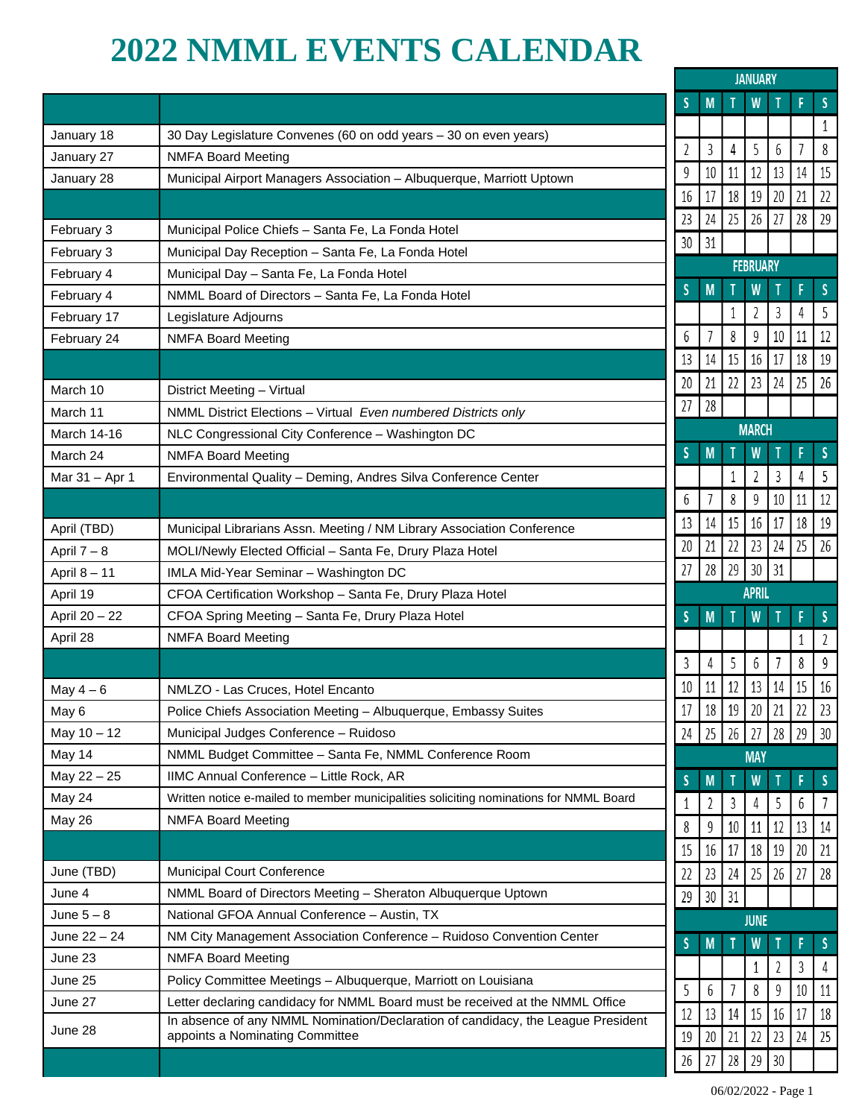## **2022 NMML EVENTS CALENDAR**

|                |                                                                                        | <b>JANUARY</b> |                 |    |              |    |                |              |
|----------------|----------------------------------------------------------------------------------------|----------------|-----------------|----|--------------|----|----------------|--------------|
|                |                                                                                        | S              | M               |    | W            |    |                | <sub>S</sub> |
| January 18     | 30 Day Legislature Convenes (60 on odd years - 30 on even years)                       |                |                 |    |              |    |                | 1            |
| January 27     | <b>NMFA Board Meeting</b>                                                              | $\overline{2}$ | 3               | 4  | 5            | 6  | $\overline{1}$ | 8            |
| January 28     | Municipal Airport Managers Association - Albuquerque, Marriott Uptown                  | 9              | 10              | 11 | 12           | 13 | 14             | 15           |
|                |                                                                                        | 16             | 17              | 18 | 19           | 20 | 21             | 22           |
| February 3     | Municipal Police Chiefs - Santa Fe, La Fonda Hotel                                     | 23             | 24              | 25 | 26           | 27 | 28             | 29           |
| February 3     | Municipal Day Reception - Santa Fe, La Fonda Hotel                                     | 30             | 31              |    |              |    |                |              |
| February 4     | Municipal Day - Santa Fe, La Fonda Hotel                                               |                | <b>FEBRUARY</b> |    |              |    |                |              |
| February 4     | NMML Board of Directors - Santa Fe, La Fonda Hotel                                     | S              | M               |    | W            |    | F              | <sub>S</sub> |
| February 17    | Legislature Adjourns                                                                   |                |                 |    | 2            | 3  | 4              | 5            |
| February 24    | <b>NMFA Board Meeting</b>                                                              | 6              | 7               | 8  | 9            | 10 | 11             | 12           |
|                |                                                                                        | 13             | 14              | 15 | 16           | 17 | 18             | 19           |
| March 10       | District Meeting - Virtual                                                             | 20             | 21              | 22 | 23           | 24 | 25             | 26           |
| March 11       | NMML District Elections - Virtual Even numbered Districts only                         | 27             | 28              |    |              |    |                |              |
| March 14-16    | NLC Congressional City Conference - Washington DC                                      |                |                 |    | <b>MARCH</b> |    |                |              |
| March 24       | <b>NMFA Board Meeting</b>                                                              | S              | M               |    | W            |    | F              | S            |
| Mar 31 - Apr 1 | Environmental Quality - Deming, Andres Silva Conference Center                         |                |                 |    | 2            | 3  | 4              | 5            |
|                |                                                                                        | 6              |                 | 8  | 9            | 10 | 11             | 12           |
|                |                                                                                        | 13             | 14              | 15 | 16           | 17 | 18             | 19           |
| April (TBD)    | Municipal Librarians Assn. Meeting / NM Library Association Conference                 | 20             | 21              | 22 | 23           | 24 | 25             | 26           |
| April $7 - 8$  | MOLI/Newly Elected Official - Santa Fe, Drury Plaza Hotel                              |                |                 |    |              |    |                |              |
| April 8 - 11   | IMLA Mid-Year Seminar - Washington DC                                                  | 27             | 28              | 29 | 30           | 31 |                |              |
| April 19       | CFOA Certification Workshop - Santa Fe, Drury Plaza Hotel                              |                |                 |    | <b>APRIL</b> |    |                |              |
| April 20 - 22  | CFOA Spring Meeting - Santa Fe, Drury Plaza Hotel                                      | S              | M               |    | W            |    | F              | $\mathsf{S}$ |
| April 28       | <b>NMFA Board Meeting</b>                                                              |                |                 |    |              |    | 1              | 2            |
|                |                                                                                        | 3              | 4               | 5  | 6            |    | 8              | 9            |
| May $4-6$      | NMLZO - Las Cruces, Hotel Encanto                                                      | 10             | 11              | 12 | 13           | 14 | 15             | 16           |
| May 6          | Police Chiefs Association Meeting - Albuquerque, Embassy Suites                        | $17\,$         | $18\,$          | 19 | $20\,$       | 21 | 22             | 23           |
| May $10 - 12$  | Municipal Judges Conference - Ruidoso                                                  | 24             | $\sqrt{25}$     | 26 | 27           | 28 | 29             | 30           |
| May 14         | NMML Budget Committee - Santa Fe, NMML Conference Room                                 |                |                 |    | <b>MAY</b>   |    |                |              |
| May 22 - 25    | IIMC Annual Conference - Little Rock, AR                                               | S              | M               |    | W            |    |                | -S           |
| May 24         | Written notice e-mailed to member municipalities soliciting nominations for NMML Board | 1              | 2               | 3  | 4            | 5  | 6              | 7            |
| May 26         | <b>NMFA Board Meeting</b>                                                              | 8              | 9               | 10 | 11           | 12 | 13             | 14           |
|                |                                                                                        | 15             | 16              | 17 | 18           | 19 | 20             | 21           |
| June (TBD)     | <b>Municipal Court Conference</b>                                                      | 22             | 23              | 24 | 25           | 26 | 27             | 28           |
| June 4         | NMML Board of Directors Meeting - Sheraton Albuquerque Uptown                          | 29             | $30\,$          | 31 |              |    |                |              |
| June $5-8$     | National GFOA Annual Conference - Austin, TX                                           |                |                 |    | <b>JUNE</b>  |    |                |              |
| June $22 - 24$ | NM City Management Association Conference - Ruidoso Convention Center                  | S              | M               |    | W            |    |                | S            |
| June 23        | <b>NMFA Board Meeting</b>                                                              |                |                 |    |              |    |                |              |
| June 25        | Policy Committee Meetings - Albuquerque, Marriott on Louisiana                         |                |                 |    | 1            | 2  | 3              | 4            |
| June 27        | Letter declaring candidacy for NMML Board must be received at the NMML Office          | 5              | 6               |    | 8            | 9  | 10             | 11           |
| June 28        | In absence of any NMML Nomination/Declaration of candidacy, the League President       | 12             | 13              | 14 | 15           | 16 | 17             | 18           |
|                | appoints a Nominating Committee                                                        | 19             | 20              | 21 | 22           | 23 | 24             | 25           |
|                |                                                                                        | 26             | 27              | 28 | 29           | 30 |                |              |